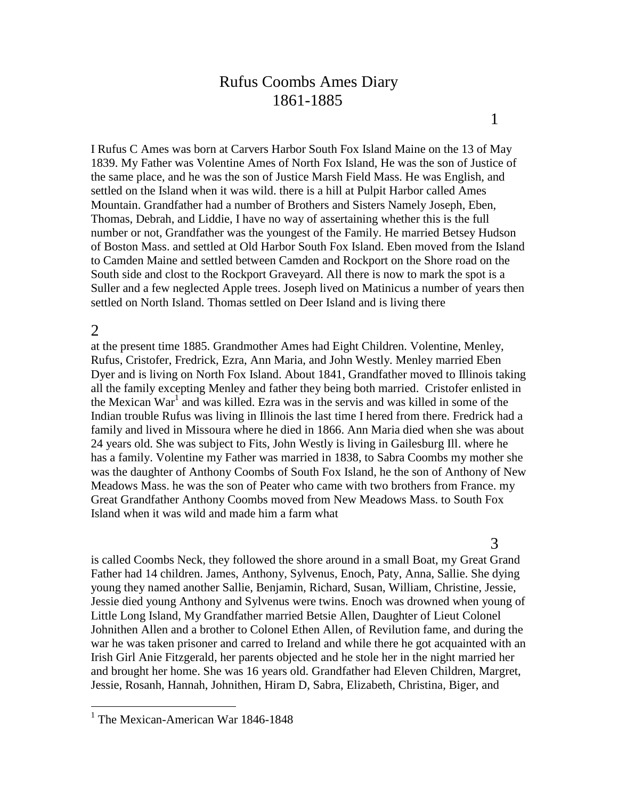# Rufus Coombs Ames Diary 1861-1885

I Rufus C Ames was born at Carvers Harbor South Fox Island Maine on the 13 of May 1839. My Father was Volentine Ames of North Fox Island, He was the son of Justice of the same place, and he was the son of Justice Marsh Field Mass. He was English, and settled on the Island when it was wild. there is a hill at Pulpit Harbor called Ames Mountain. Grandfather had a number of Brothers and Sisters Namely Joseph, Eben, Thomas, Debrah, and Liddie, I have no way of assertaining whether this is the full number or not, Grandfather was the youngest of the Family. He married Betsey Hudson of Boston Mass. and settled at Old Harbor South Fox Island. Eben moved from the Island to Camden Maine and settled between Camden and Rockport on the Shore road on the South side and clost to the Rockport Graveyard. All there is now to mark the spot is a Suller and a few neglected Apple trees. Joseph lived on Matinicus a number of years then settled on North Island. Thomas settled on Deer Island and is living there

## 2

 $\overline{a}$ 

at the present time 1885. Grandmother Ames had Eight Children. Volentine, Menley, Rufus, Cristofer, Fredrick, Ezra, Ann Maria, and John Westly. Menley married Eben Dyer and is living on North Fox Island. About 1841, Grandfather moved to Illinois taking all the family excepting Menley and father they being both married. Cristofer enlisted in the Mexican War<sup>1</sup> and was killed. Ezra was in the servis and was killed in some of the Indian trouble Rufus was living in Illinois the last time I hered from there. Fredrick had a family and lived in Missoura where he died in 1866. Ann Maria died when she was about 24 years old. She was subject to Fits, John Westly is living in Gailesburg Ill. where he has a family. Volentine my Father was married in 1838, to Sabra Coombs my mother she was the daughter of Anthony Coombs of South Fox Island, he the son of Anthony of New Meadows Mass. he was the son of Peater who came with two brothers from France. my Great Grandfather Anthony Coombs moved from New Meadows Mass. to South Fox Island when it was wild and made him a farm what

## 3

is called Coombs Neck, they followed the shore around in a small Boat, my Great Grand Father had 14 children. James, Anthony, Sylvenus, Enoch, Paty, Anna, Sallie. She dying young they named another Sallie, Benjamin, Richard, Susan, William, Christine, Jessie, Jessie died young Anthony and Sylvenus were twins. Enoch was drowned when young of Little Long Island, My Grandfather married Betsie Allen, Daughter of Lieut Colonel Johnithen Allen and a brother to Colonel Ethen Allen, of Revilution fame, and during the war he was taken prisoner and carred to Ireland and while there he got acquainted with an Irish Girl Anie Fitzgerald, her parents objected and he stole her in the night married her and brought her home. She was 16 years old. Grandfather had Eleven Children, Margret, Jessie, Rosanh, Hannah, Johnithen, Hiram D, Sabra, Elizabeth, Christina, Biger, and

<sup>&</sup>lt;sup>1</sup> The Mexican-American War 1846-1848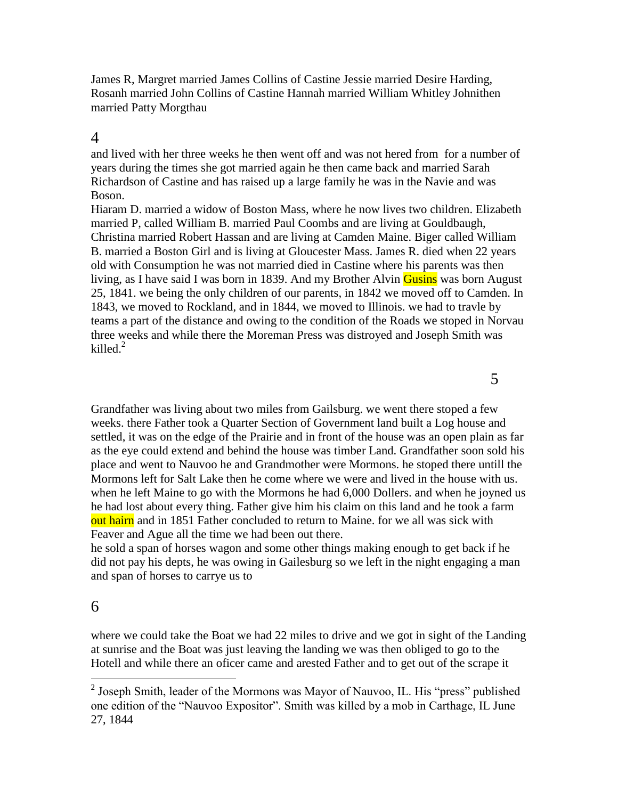James R, Margret married James Collins of Castine Jessie married Desire Harding, Rosanh married John Collins of Castine Hannah married William Whitley Johnithen married Patty Morgthau

# 4

and lived with her three weeks he then went off and was not hered from for a number of years during the times she got married again he then came back and married Sarah Richardson of Castine and has raised up a large family he was in the Navie and was Boson.

Hiaram D. married a widow of Boston Mass, where he now lives two children. Elizabeth married P, called William B. married Paul Coombs and are living at Gouldbaugh, Christina married Robert Hassan and are living at Camden Maine. Biger called William B. married a Boston Girl and is living at Gloucester Mass. James R. died when 22 years old with Consumption he was not married died in Castine where his parents was then living, as I have said I was born in 1839. And my Brother Alvin Gusins was born August 25, 1841. we being the only children of our parents, in 1842 we moved off to Camden. In 1843, we moved to Rockland, and in 1844, we moved to Illinois. we had to travle by teams a part of the distance and owing to the condition of the Roads we stoped in Norvau three weeks and while there the Moreman Press was distroyed and Joseph Smith was killed. $<sup>2</sup>$ </sup>

Grandfather was living about two miles from Gailsburg. we went there stoped a few weeks. there Father took a Quarter Section of Government land built a Log house and settled, it was on the edge of the Prairie and in front of the house was an open plain as far as the eye could extend and behind the house was timber Land. Grandfather soon sold his place and went to Nauvoo he and Grandmother were Mormons. he stoped there untill the Mormons left for Salt Lake then he come where we were and lived in the house with us. when he left Maine to go with the Mormons he had 6,000 Dollers. and when he joyned us he had lost about every thing. Father give him his claim on this land and he took a farm out hairn and in 1851 Father concluded to return to Maine. for we all was sick with Feaver and Ague all the time we had been out there.

he sold a span of horses wagon and some other things making enough to get back if he did not pay his depts, he was owing in Gailesburg so we left in the night engaging a man and span of horses to carrye us to

# 6

where we could take the Boat we had 22 miles to drive and we got in sight of the Landing at sunrise and the Boat was just leaving the landing we was then obliged to go to the Hotell and while there an oficer came and arested Father and to get out of the scrape it

<sup>&</sup>lt;sup>2</sup> Joseph Smith, leader of the Mormons was Mayor of Nauvoo, IL. His "press" published one edition of the "Nauvoo Expositor". Smith was killed by a mob in Carthage, IL June 27, 1844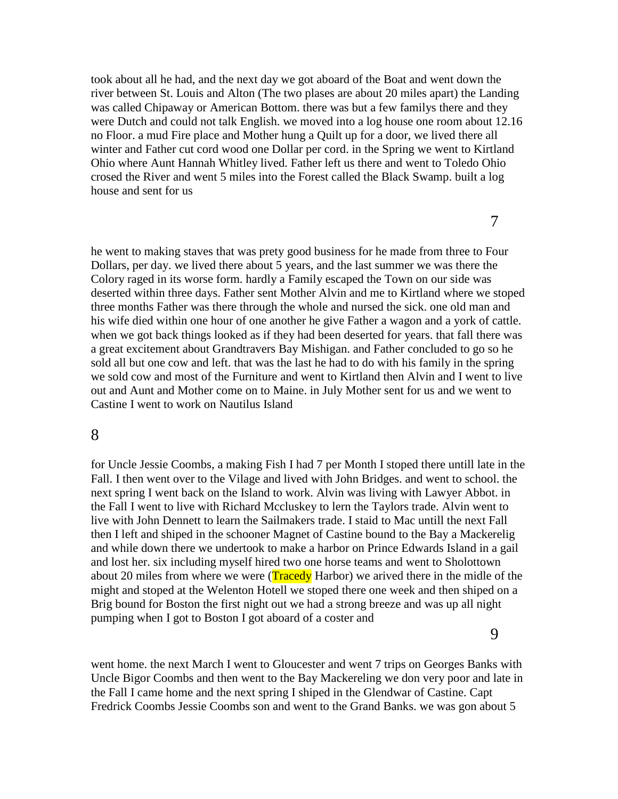took about all he had, and the next day we got aboard of the Boat and went down the river between St. Louis and Alton (The two plases are about 20 miles apart) the Landing was called Chipaway or American Bottom. there was but a few familys there and they were Dutch and could not talk English. we moved into a log house one room about 12.16 no Floor. a mud Fire place and Mother hung a Quilt up for a door, we lived there all winter and Father cut cord wood one Dollar per cord. in the Spring we went to Kirtland Ohio where Aunt Hannah Whitley lived. Father left us there and went to Toledo Ohio crosed the River and went 5 miles into the Forest called the Black Swamp. built a log house and sent for us

7

he went to making staves that was prety good business for he made from three to Four Dollars, per day. we lived there about 5 years, and the last summer we was there the Colory raged in its worse form. hardly a Family escaped the Town on our side was deserted within three days. Father sent Mother Alvin and me to Kirtland where we stoped three months Father was there through the whole and nursed the sick. one old man and his wife died within one hour of one another he give Father a wagon and a york of cattle. when we got back things looked as if they had been deserted for years. that fall there was a great excitement about Grandtravers Bay Mishigan. and Father concluded to go so he sold all but one cow and left. that was the last he had to do with his family in the spring we sold cow and most of the Furniture and went to Kirtland then Alvin and I went to live out and Aunt and Mother come on to Maine. in July Mother sent for us and we went to Castine I went to work on Nautilus Island

# 8

for Uncle Jessie Coombs, a making Fish I had 7 per Month I stoped there untill late in the Fall. I then went over to the Vilage and lived with John Bridges. and went to school. the next spring I went back on the Island to work. Alvin was living with Lawyer Abbot. in the Fall I went to live with Richard Mccluskey to lern the Taylors trade. Alvin went to live with John Dennett to learn the Sailmakers trade. I staid to Mac untill the next Fall then I left and shiped in the schooner Magnet of Castine bound to the Bay a Mackerelig and while down there we undertook to make a harbor on Prince Edwards Island in a gail and lost her. six including myself hired two one horse teams and went to Sholottown about 20 miles from where we were (**Tracedy** Harbor) we arived there in the midle of the might and stoped at the Welenton Hotell we stoped there one week and then shiped on a Brig bound for Boston the first night out we had a strong breeze and was up all night pumping when I got to Boston I got aboard of a coster and

9

went home. the next March I went to Gloucester and went 7 trips on Georges Banks with Uncle Bigor Coombs and then went to the Bay Mackereling we don very poor and late in the Fall I came home and the next spring I shiped in the Glendwar of Castine. Capt Fredrick Coombs Jessie Coombs son and went to the Grand Banks. we was gon about 5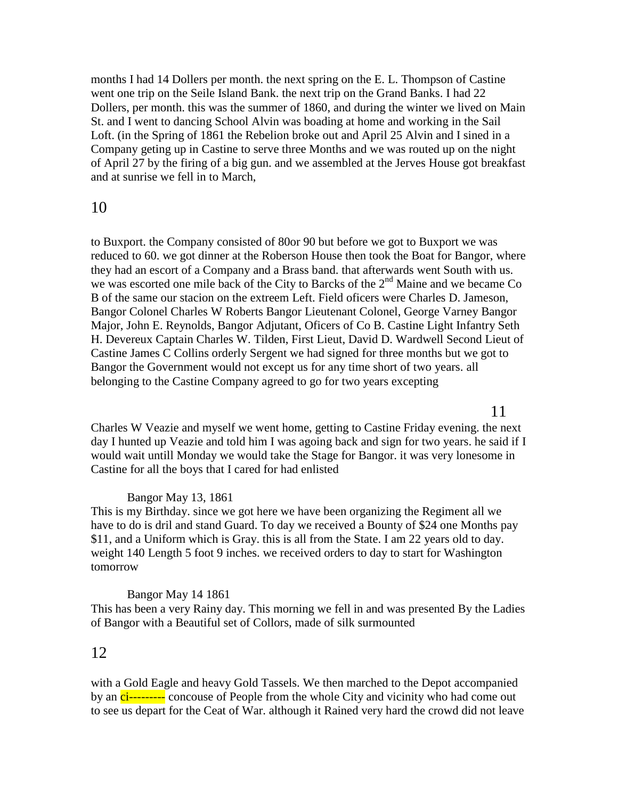months I had 14 Dollers per month. the next spring on the E. L. Thompson of Castine went one trip on the Seile Island Bank. the next trip on the Grand Banks. I had 22 Dollers, per month. this was the summer of 1860, and during the winter we lived on Main St. and I went to dancing School Alvin was boading at home and working in the Sail Loft. (in the Spring of 1861 the Rebelion broke out and April 25 Alvin and I sined in a Company geting up in Castine to serve three Months and we was routed up on the night of April 27 by the firing of a big gun. and we assembled at the Jerves House got breakfast and at sunrise we fell in to March,

# 10

to Buxport. the Company consisted of 80or 90 but before we got to Buxport we was reduced to 60. we got dinner at the Roberson House then took the Boat for Bangor, where they had an escort of a Company and a Brass band. that afterwards went South with us. we was escorted one mile back of the City to Barcks of the  $2<sup>nd</sup>$  Maine and we became Co B of the same our stacion on the extreem Left. Field oficers were Charles D. Jameson, Bangor Colonel Charles W Roberts Bangor Lieutenant Colonel, George Varney Bangor Major, John E. Reynolds, Bangor Adjutant, Oficers of Co B. Castine Light Infantry Seth H. Devereux Captain Charles W. Tilden, First Lieut, David D. Wardwell Second Lieut of Castine James C Collins orderly Sergent we had signed for three months but we got to Bangor the Government would not except us for any time short of two years. all belonging to the Castine Company agreed to go for two years excepting

# 11

Charles W Veazie and myself we went home, getting to Castine Friday evening. the next day I hunted up Veazie and told him I was agoing back and sign for two years. he said if I would wait untill Monday we would take the Stage for Bangor. it was very lonesome in Castine for all the boys that I cared for had enlisted

# Bangor May 13, 1861

This is my Birthday. since we got here we have been organizing the Regiment all we have to do is dril and stand Guard. To day we received a Bounty of \$24 one Months pay \$11, and a Uniform which is Gray. this is all from the State. I am 22 years old to day. weight 140 Length 5 foot 9 inches. we received orders to day to start for Washington tomorrow

## Bangor May 14 1861

This has been a very Rainy day. This morning we fell in and was presented By the Ladies of Bangor with a Beautiful set of Collors, made of silk surmounted

# 12

with a Gold Eagle and heavy Gold Tassels. We then marched to the Depot accompanied by an ci--------- concouse of People from the whole City and vicinity who had come out to see us depart for the Ceat of War. although it Rained very hard the crowd did not leave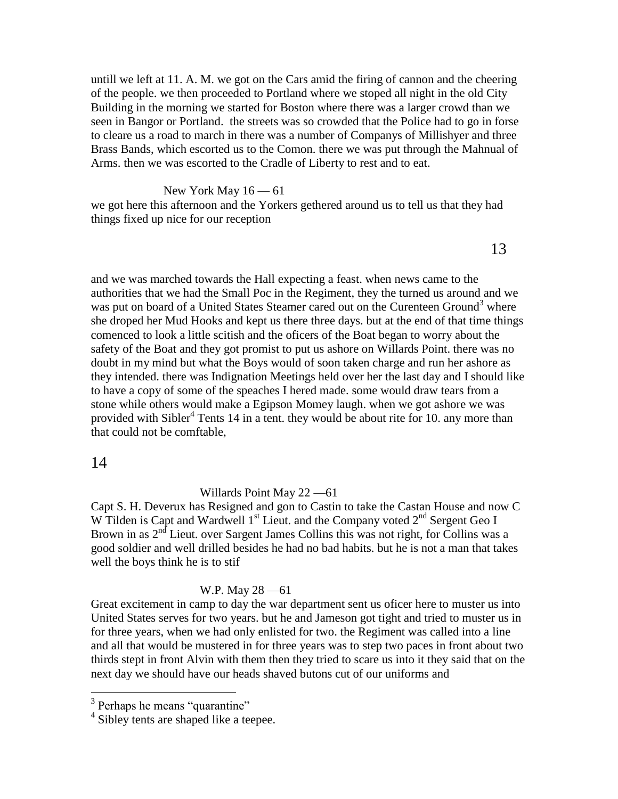untill we left at 11. A. M. we got on the Cars amid the firing of cannon and the cheering of the people. we then proceeded to Portland where we stoped all night in the old City Building in the morning we started for Boston where there was a larger crowd than we seen in Bangor or Portland. the streets was so crowded that the Police had to go in forse to cleare us a road to march in there was a number of Companys of Millishyer and three Brass Bands, which escorted us to the Comon. there we was put through the Mahnual of Arms. then we was escorted to the Cradle of Liberty to rest and to eat.

New York May  $16 - 61$ 

we got here this afternoon and the Yorkers gethered around us to tell us that they had things fixed up nice for our reception

13

and we was marched towards the Hall expecting a feast. when news came to the authorities that we had the Small Poc in the Regiment, they the turned us around and we was put on board of a United States Steamer cared out on the Curenteen Ground<sup>3</sup> where she droped her Mud Hooks and kept us there three days. but at the end of that time things comenced to look a little scitish and the oficers of the Boat began to worry about the safety of the Boat and they got promist to put us ashore on Willards Point. there was no doubt in my mind but what the Boys would of soon taken charge and run her ashore as they intended. there was Indignation Meetings held over her the last day and I should like to have a copy of some of the speaches I hered made. some would draw tears from a stone while others would make a Egipson Momey laugh. when we got ashore we was provided with Sibler<sup>4</sup> Tents 14 in a tent. they would be about rite for 10. any more than that could not be comftable,

## 14

 $\overline{a}$ 

Willards Point May 22 —61

Capt S. H. Deverux has Resigned and gon to Castin to take the Castan House and now C W Tilden is Capt and Wardwell  $1<sup>st</sup>$  Lieut. and the Company voted  $2<sup>nd</sup>$  Sergent Geo I Brown in as  $2<sup>nd</sup>$  Lieut. over Sargent James Collins this was not right, for Collins was a good soldier and well drilled besides he had no bad habits. but he is not a man that takes well the boys think he is to stif

### W.P. May 28 —61

Great excitement in camp to day the war department sent us oficer here to muster us into United States serves for two years. but he and Jameson got tight and tried to muster us in for three years, when we had only enlisted for two. the Regiment was called into a line and all that would be mustered in for three years was to step two paces in front about two thirds stept in front Alvin with them then they tried to scare us into it they said that on the next day we should have our heads shaved butons cut of our uniforms and

<sup>&</sup>lt;sup>3</sup> Perhaps he means "quarantine"

<sup>&</sup>lt;sup>4</sup> Sibley tents are shaped like a teepee.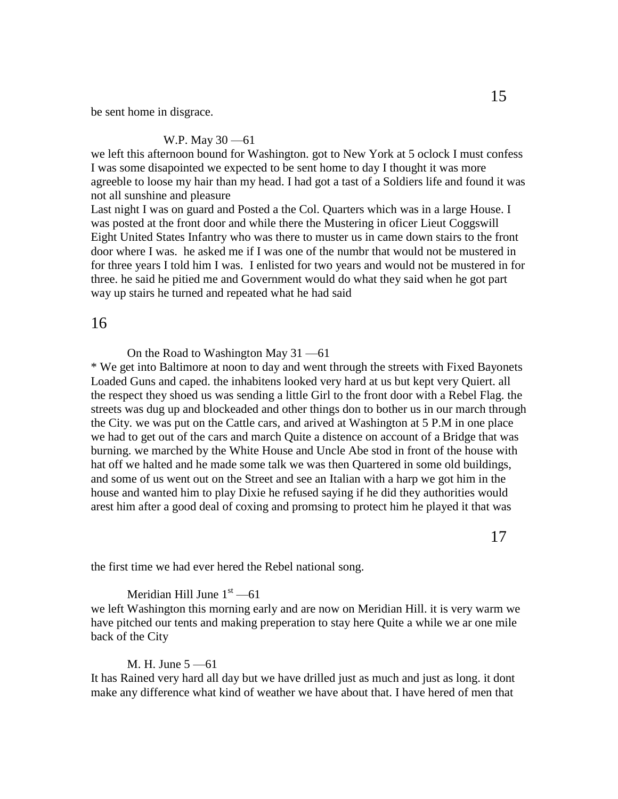be sent home in disgrace.

#### W.P. May 30 —61

we left this afternoon bound for Washington. got to New York at 5 oclock I must confess I was some disapointed we expected to be sent home to day I thought it was more agreeble to loose my hair than my head. I had got a tast of a Soldiers life and found it was not all sunshine and pleasure

Last night I was on guard and Posted a the Col. Quarters which was in a large House. I was posted at the front door and while there the Mustering in oficer Lieut Coggswill Eight United States Infantry who was there to muster us in came down stairs to the front door where I was. he asked me if I was one of the numbr that would not be mustered in for three years I told him I was. I enlisted for two years and would not be mustered in for three. he said he pitied me and Government would do what they said when he got part way up stairs he turned and repeated what he had said

## 16

On the Road to Washington May 31 —61

\* We get into Baltimore at noon to day and went through the streets with Fixed Bayonets Loaded Guns and caped. the inhabitens looked very hard at us but kept very Quiert. all the respect they shoed us was sending a little Girl to the front door with a Rebel Flag. the streets was dug up and blockeaded and other things don to bother us in our march through the City. we was put on the Cattle cars, and arived at Washington at 5 P.M in one place we had to get out of the cars and march Quite a distence on account of a Bridge that was burning. we marched by the White House and Uncle Abe stod in front of the house with hat off we halted and he made some talk we was then Quartered in some old buildings, and some of us went out on the Street and see an Italian with a harp we got him in the house and wanted him to play Dixie he refused saying if he did they authorities would arest him after a good deal of coxing and promsing to protect him he played it that was

the first time we had ever hered the Rebel national song.

### Meridian Hill June  $1<sup>st</sup> - 61$

we left Washington this morning early and are now on Meridian Hill. it is very warm we have pitched our tents and making preperation to stay here Quite a while we ar one mile back of the City

#### M. H. June 5 —61

It has Rained very hard all day but we have drilled just as much and just as long. it dont make any difference what kind of weather we have about that. I have hered of men that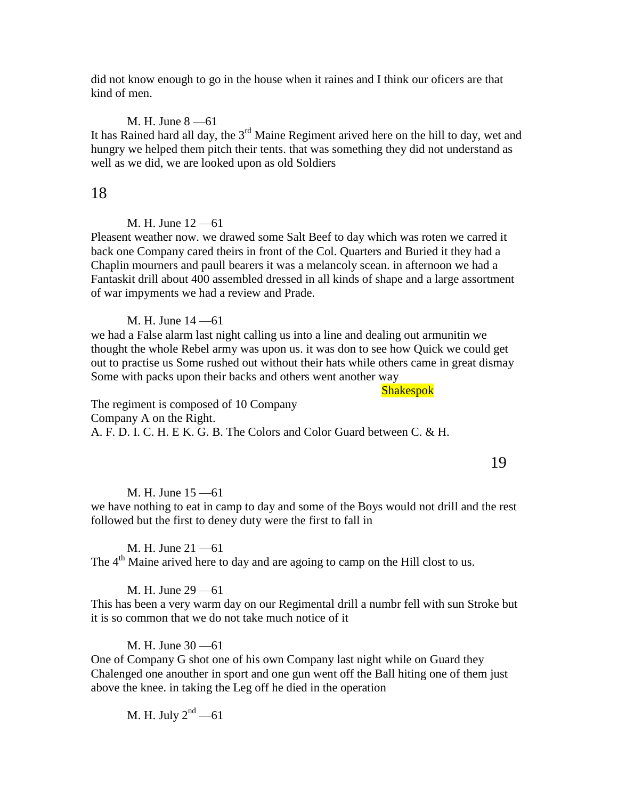did not know enough to go in the house when it raines and I think our oficers are that kind of men.

### M. H. June 8 —61

It has Rained hard all day, the  $3<sup>rd</sup>$  Maine Regiment arived here on the hill to day, wet and hungry we helped them pitch their tents. that was something they did not understand as well as we did, we are looked upon as old Soldiers

## 18

## M. H. June 12 —61

Pleasent weather now. we drawed some Salt Beef to day which was roten we carred it back one Company cared theirs in front of the Col. Quarters and Buried it they had a Chaplin mourners and paull bearers it was a melancoly scean. in afternoon we had a Fantaskit drill about 400 assembled dressed in all kinds of shape and a large assortment of war impyments we had a review and Prade.

### M. H. June 14 —61

we had a False alarm last night calling us into a line and dealing out armunitin we thought the whole Rebel army was upon us. it was don to see how Quick we could get out to practise us Some rushed out without their hats while others came in great dismay Some with packs upon their backs and others went another way

Shakespok

The regiment is composed of 10 Company Company A on the Right. A. F. D. I. C. H. E K. G. B. The Colors and Color Guard between C. & H.

19

#### M. H. June 15 —61

we have nothing to eat in camp to day and some of the Boys would not drill and the rest followed but the first to deney duty were the first to fall in

M. H. June 21 —61

The 4<sup>th</sup> Maine arived here to day and are agoing to camp on the Hill clost to us.

#### M. H. June 29 —61

This has been a very warm day on our Regimental drill a numbr fell with sun Stroke but it is so common that we do not take much notice of it

#### M. H. June 30 —61

One of Company G shot one of his own Company last night while on Guard they Chalenged one anouther in sport and one gun went off the Ball hiting one of them just above the knee. in taking the Leg off he died in the operation

M. H. July  $2<sup>nd</sup> - 61$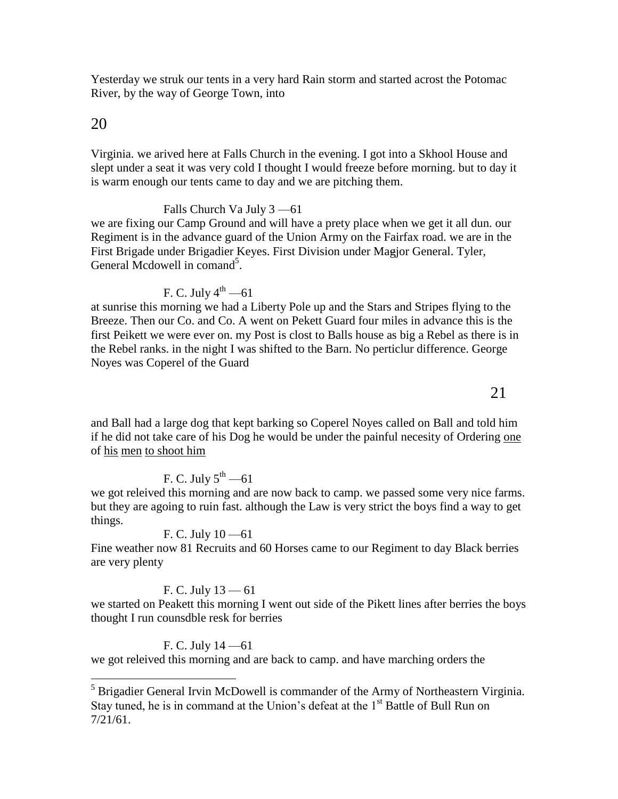Yesterday we struk our tents in a very hard Rain storm and started acrost the Potomac River, by the way of George Town, into

# 20

 $\overline{a}$ 

Virginia. we arived here at Falls Church in the evening. I got into a Skhool House and slept under a seat it was very cold I thought I would freeze before morning. but to day it is warm enough our tents came to day and we are pitching them.

Falls Church Va July 3 —61

we are fixing our Camp Ground and will have a prety place when we get it all dun. our Regiment is in the advance guard of the Union Army on the Fairfax road. we are in the First Brigade under Brigadier Keyes. First Division under Magjor General. Tyler, General Mcdowell in comand<sup>5</sup>.

F. C. July  $4^{th}$  —61

at sunrise this morning we had a Liberty Pole up and the Stars and Stripes flying to the Breeze. Then our Co. and Co. A went on Pekett Guard four miles in advance this is the first Peikett we were ever on. my Post is clost to Balls house as big a Rebel as there is in the Rebel ranks. in the night I was shifted to the Barn. No perticlur difference. George Noyes was Coperel of the Guard

and Ball had a large dog that kept barking so Coperel Noyes called on Ball and told him if he did not take care of his Dog he would be under the painful necesity of Ordering one of his men to shoot him

# F. C. July  $5^{\text{th}}$  —61

we got releived this morning and are now back to camp. we passed some very nice farms. but they are agoing to ruin fast. although the Law is very strict the boys find a way to get things.

# F. C. July 10 —61

Fine weather now 81 Recruits and 60 Horses came to our Regiment to day Black berries are very plenty

# F. C. July  $13 - 61$

we started on Peakett this morning I went out side of the Pikett lines after berries the boys thought I run counsdble resk for berries

# F. C. July 14 —61

we got releived this morning and are back to camp. and have marching orders the

 $<sup>5</sup>$  Brigadier General Irvin McDowell is commander of the Army of Northeastern Virginia.</sup> Stay tuned, he is in command at the Union's defeat at the  $1<sup>st</sup>$  Battle of Bull Run on 7/21/61.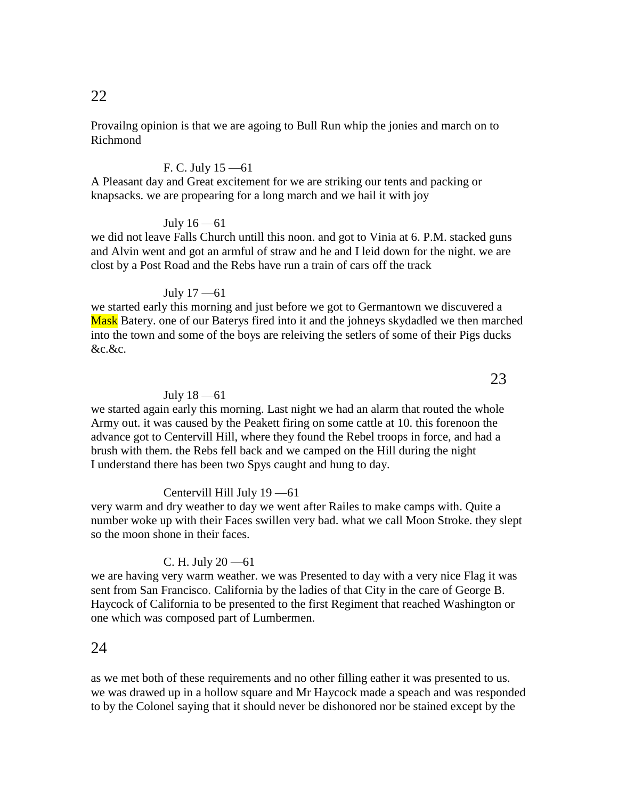Provailng opinion is that we are agoing to Bull Run whip the jonies and march on to Richmond

## F. C. July 15 —61

A Pleasant day and Great excitement for we are striking our tents and packing or knapsacks. we are propearing for a long march and we hail it with joy

## July 16 —61

we did not leave Falls Church untill this noon. and got to Vinia at 6. P.M. stacked guns and Alvin went and got an armful of straw and he and I leid down for the night. we are clost by a Post Road and the Rebs have run a train of cars off the track

## July 17 —61

we started early this morning and just before we got to Germantown we discuvered a Mask Batery, one of our Baterys fired into it and the johneys skydadled we then marched into the town and some of the boys are releiving the setlers of some of their Pigs ducks &c.&c.

### July 18 —61

we started again early this morning. Last night we had an alarm that routed the whole Army out. it was caused by the Peakett firing on some cattle at 10. this forenoon the advance got to Centervill Hill, where they found the Rebel troops in force, and had a brush with them. the Rebs fell back and we camped on the Hill during the night I understand there has been two Spys caught and hung to day.

## Centervill Hill July 19 —61

very warm and dry weather to day we went after Railes to make camps with. Quite a number woke up with their Faces swillen very bad. what we call Moon Stroke. they slept so the moon shone in their faces.

### C. H. July  $20 - 61$

we are having very warm weather. we was Presented to day with a very nice Flag it was sent from San Francisco. California by the ladies of that City in the care of George B. Haycock of California to be presented to the first Regiment that reached Washington or one which was composed part of Lumbermen.

# 24

as we met both of these requirements and no other filling eather it was presented to us. we was drawed up in a hollow square and Mr Haycock made a speach and was responded to by the Colonel saying that it should never be dishonored nor be stained except by the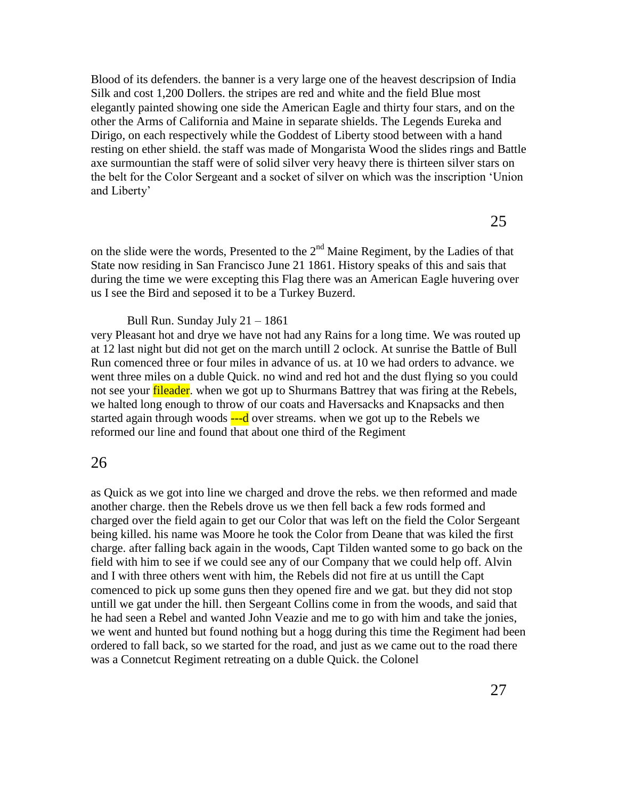Blood of its defenders. the banner is a very large one of the heavest descripsion of India Silk and cost 1,200 Dollers. the stripes are red and white and the field Blue most elegantly painted showing one side the American Eagle and thirty four stars, and on the other the Arms of California and Maine in separate shields. The Legends Eureka and Dirigo, on each respectively while the Goddest of Liberty stood between with a hand resting on ether shield. the staff was made of Mongarista Wood the slides rings and Battle axe surmountian the staff were of solid silver very heavy there is thirteen silver stars on the belt for the Color Sergeant and a socket of silver on which was the inscription 'Union and Liberty'

on the slide were the words, Presented to the  $2<sup>nd</sup>$  Maine Regiment, by the Ladies of that State now residing in San Francisco June 21 1861. History speaks of this and sais that during the time we were excepting this Flag there was an American Eagle huvering over us I see the Bird and seposed it to be a Turkey Buzerd.

Bull Run. Sunday July 21 – 1861

very Pleasant hot and drye we have not had any Rains for a long time. We was routed up at 12 last night but did not get on the march untill 2 oclock. At sunrise the Battle of Bull Run comenced three or four miles in advance of us. at 10 we had orders to advance. we went three miles on a duble Quick. no wind and red hot and the dust flying so you could not see your **fileader**, when we got up to Shurmans Battrey that was firing at the Rebels, we halted long enough to throw of our coats and Haversacks and Knapsacks and then started again through woods  $\frac{1}{2}$  over streams. when we got up to the Rebels we reformed our line and found that about one third of the Regiment

## 26

as Quick as we got into line we charged and drove the rebs. we then reformed and made another charge. then the Rebels drove us we then fell back a few rods formed and charged over the field again to get our Color that was left on the field the Color Sergeant being killed. his name was Moore he took the Color from Deane that was kiled the first charge. after falling back again in the woods, Capt Tilden wanted some to go back on the field with him to see if we could see any of our Company that we could help off. Alvin and I with three others went with him, the Rebels did not fire at us untill the Capt comenced to pick up some guns then they opened fire and we gat. but they did not stop untill we gat under the hill. then Sergeant Collins come in from the woods, and said that he had seen a Rebel and wanted John Veazie and me to go with him and take the jonies, we went and hunted but found nothing but a hogg during this time the Regiment had been ordered to fall back, so we started for the road, and just as we came out to the road there was a Connetcut Regiment retreating on a duble Quick. the Colonel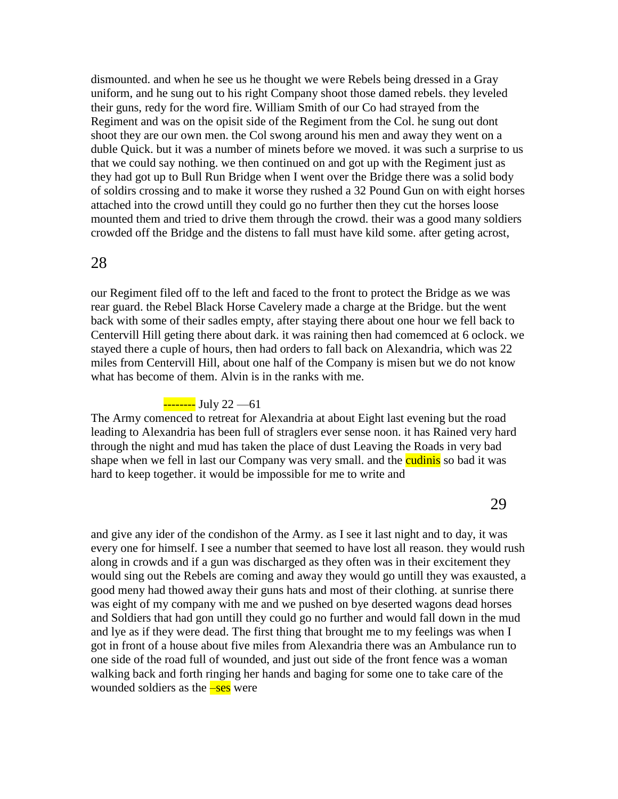dismounted. and when he see us he thought we were Rebels being dressed in a Gray uniform, and he sung out to his right Company shoot those damed rebels. they leveled their guns, redy for the word fire. William Smith of our Co had strayed from the Regiment and was on the opisit side of the Regiment from the Col. he sung out dont shoot they are our own men. the Col swong around his men and away they went on a duble Quick. but it was a number of minets before we moved. it was such a surprise to us that we could say nothing. we then continued on and got up with the Regiment just as they had got up to Bull Run Bridge when I went over the Bridge there was a solid body of soldirs crossing and to make it worse they rushed a 32 Pound Gun on with eight horses attached into the crowd untill they could go no further then they cut the horses loose mounted them and tried to drive them through the crowd. their was a good many soldiers crowded off the Bridge and the distens to fall must have kild some. after geting acrost,

## 28

our Regiment filed off to the left and faced to the front to protect the Bridge as we was rear guard. the Rebel Black Horse Cavelery made a charge at the Bridge. but the went back with some of their sadles empty, after staying there about one hour we fell back to Centervill Hill geting there about dark. it was raining then had comemced at 6 oclock. we stayed there a cuple of hours, then had orders to fall back on Alexandria, which was 22 miles from Centervill Hill, about one half of the Company is misen but we do not know what has become of them. Alvin is in the ranks with me.

# -------- July 22 --- 61

The Army comenced to retreat for Alexandria at about Eight last evening but the road leading to Alexandria has been full of straglers ever sense noon. it has Rained very hard through the night and mud has taken the place of dust Leaving the Roads in very bad shape when we fell in last our Company was very small. and the cudinis so bad it was hard to keep together. it would be impossible for me to write and

29

and give any ider of the condishon of the Army. as I see it last night and to day, it was every one for himself. I see a number that seemed to have lost all reason. they would rush along in crowds and if a gun was discharged as they often was in their excitement they would sing out the Rebels are coming and away they would go untill they was exausted, a good meny had thowed away their guns hats and most of their clothing. at sunrise there was eight of my company with me and we pushed on bye deserted wagons dead horses and Soldiers that had gon untill they could go no further and would fall down in the mud and lye as if they were dead. The first thing that brought me to my feelings was when I got in front of a house about five miles from Alexandria there was an Ambulance run to one side of the road full of wounded, and just out side of the front fence was a woman walking back and forth ringing her hands and baging for some one to take care of the wounded soldiers as the  $-\text{ses}$  were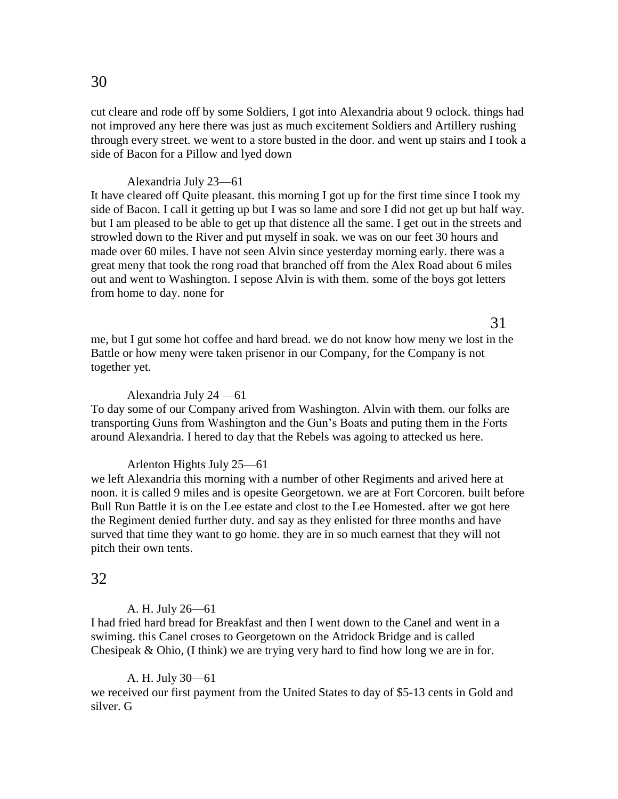cut cleare and rode off by some Soldiers, I got into Alexandria about 9 oclock. things had not improved any here there was just as much excitement Soldiers and Artillery rushing through every street. we went to a store busted in the door. and went up stairs and I took a side of Bacon for a Pillow and lyed down

#### Alexandria July 23—61

It have cleared off Quite pleasant. this morning I got up for the first time since I took my side of Bacon. I call it getting up but I was so lame and sore I did not get up but half way. but I am pleased to be able to get up that distence all the same. I get out in the streets and strowled down to the River and put myself in soak. we was on our feet 30 hours and made over 60 miles. I have not seen Alvin since yesterday morning early. there was a great meny that took the rong road that branched off from the Alex Road about 6 miles out and went to Washington. I sepose Alvin is with them. some of the boys got letters from home to day. none for

me, but I gut some hot coffee and hard bread. we do not know how meny we lost in the Battle or how meny were taken prisenor in our Company, for the Company is not together yet.

31

#### Alexandria July 24 —61

To day some of our Company arived from Washington. Alvin with them. our folks are transporting Guns from Washington and the Gun's Boats and puting them in the Forts around Alexandria. I hered to day that the Rebels was agoing to attecked us here.

#### Arlenton Hights July 25—61

we left Alexandria this morning with a number of other Regiments and arived here at noon. it is called 9 miles and is opesite Georgetown. we are at Fort Corcoren. built before Bull Run Battle it is on the Lee estate and clost to the Lee Homested. after we got here the Regiment denied further duty. and say as they enlisted for three months and have surved that time they want to go home. they are in so much earnest that they will not pitch their own tents.

### 32

#### A. H. July 26—61

I had fried hard bread for Breakfast and then I went down to the Canel and went in a swiming. this Canel croses to Georgetown on the Atridock Bridge and is called Chesipeak & Ohio, (I think) we are trying very hard to find how long we are in for.

#### A. H. July 30—61

we received our first payment from the United States to day of \$5-13 cents in Gold and silver. G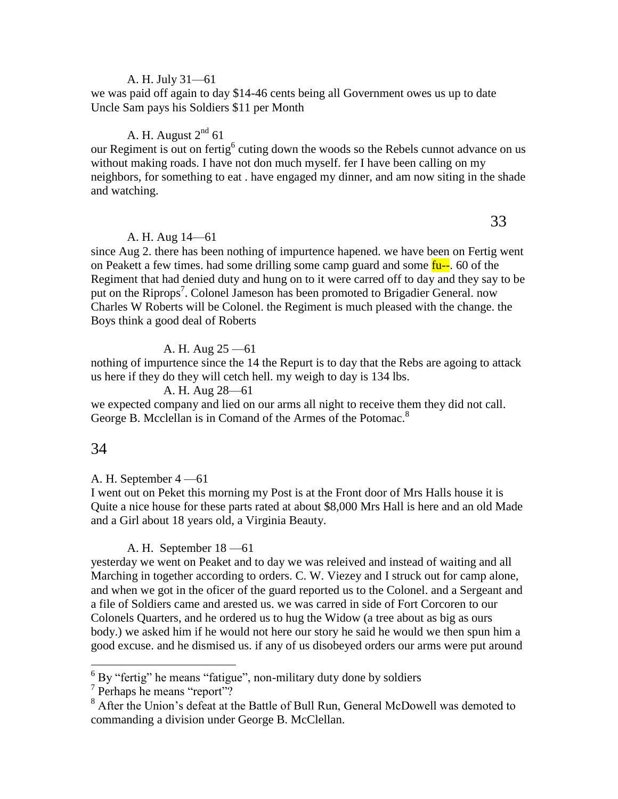## A. H. July 31—61

we was paid off again to day \$14-46 cents being all Government owes us up to date Uncle Sam pays his Soldiers \$11 per Month

## A. H. August  $2^{nd}$  61

our Regiment is out on fertig<sup>6</sup> cuting down the woods so the Rebels cunnot advance on us without making roads. I have not don much myself. fer I have been calling on my neighbors, for something to eat . have engaged my dinner, and am now siting in the shade and watching.

### A. H. Aug 14—61

since Aug 2. there has been nothing of impurtence hapened. we have been on Fertig went on Peakett a few times. had some drilling some camp guard and some  $fu-$ . 60 of the Regiment that had denied duty and hung on to it were carred off to day and they say to be put on the Riprops<sup>7</sup>. Colonel Jameson has been promoted to Brigadier General. now Charles W Roberts will be Colonel. the Regiment is much pleased with the change. the Boys think a good deal of Roberts

## A. H. Aug 25 —61

nothing of impurtence since the 14 the Repurt is to day that the Rebs are agoing to attack us here if they do they will cetch hell. my weigh to day is 134 lbs.

A. H. Aug 28—61

we expected company and lied on our arms all night to receive them they did not call. George B. Mcclellan is in Comand of the Armes of the Potomac.<sup>8</sup>

## 34

 $\overline{a}$ 

### A. H. September 4 —61

I went out on Peket this morning my Post is at the Front door of Mrs Halls house it is Quite a nice house for these parts rated at about \$8,000 Mrs Hall is here and an old Made and a Girl about 18 years old, a Virginia Beauty.

## A. H. September 18 —61

yesterday we went on Peaket and to day we was releived and instead of waiting and all Marching in together according to orders. C. W. Viezey and I struck out for camp alone, and when we got in the oficer of the guard reported us to the Colonel. and a Sergeant and a file of Soldiers came and arested us. we was carred in side of Fort Corcoren to our Colonels Quarters, and he ordered us to hug the Widow (a tree about as big as ours body.) we asked him if he would not here our story he said he would we then spun him a good excuse. and he dismised us. if any of us disobeyed orders our arms were put around

 $6$  By "fertig" he means "fatigue", non-military duty done by soldiers

<sup>7</sup> Perhaps he means "report"?

<sup>&</sup>lt;sup>8</sup> After the Union's defeat at the Battle of Bull Run, General McDowell was demoted to commanding a division under George B. McClellan.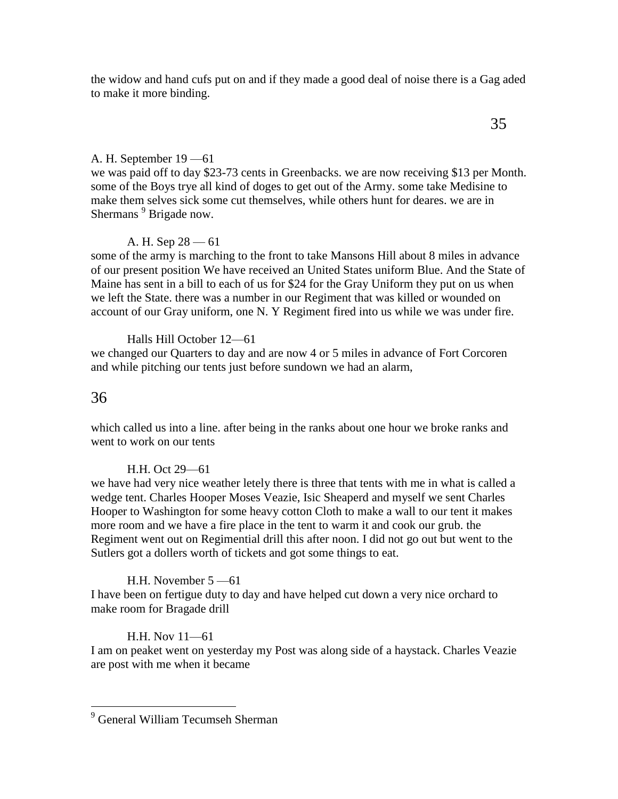the widow and hand cufs put on and if they made a good deal of noise there is a Gag aded to make it more binding.

# A. H. September 19 —61

we was paid off to day \$23-73 cents in Greenbacks. we are now receiving \$13 per Month. some of the Boys trye all kind of doges to get out of the Army. some take Medisine to make them selves sick some cut themselves, while others hunt for deares. we are in Shermans<sup>9</sup> Brigade now.

# A. H. Sep  $28 - 61$

some of the army is marching to the front to take Mansons Hill about 8 miles in advance of our present position We have received an United States uniform Blue. And the State of Maine has sent in a bill to each of us for \$24 for the Gray Uniform they put on us when we left the State. there was a number in our Regiment that was killed or wounded on account of our Gray uniform, one N. Y Regiment fired into us while we was under fire.

Halls Hill October 12—61 we changed our Quarters to day and are now 4 or 5 miles in advance of Fort Corcoren and while pitching our tents just before sundown we had an alarm,

# 36

 $\overline{a}$ 

which called us into a line. after being in the ranks about one hour we broke ranks and went to work on our tents

# H.H. Oct 29—61

we have had very nice weather letely there is three that tents with me in what is called a wedge tent. Charles Hooper Moses Veazie, Isic Sheaperd and myself we sent Charles Hooper to Washington for some heavy cotton Cloth to make a wall to our tent it makes more room and we have a fire place in the tent to warm it and cook our grub. the Regiment went out on Regimential drill this after noon. I did not go out but went to the Sutlers got a dollers worth of tickets and got some things to eat.

# H.H. November 5 —61

I have been on fertigue duty to day and have helped cut down a very nice orchard to make room for Bragade drill

# H.H. Nov 11—61

I am on peaket went on yesterday my Post was along side of a haystack. Charles Veazie are post with me when it became

<sup>&</sup>lt;sup>9</sup> General William Tecumseh Sherman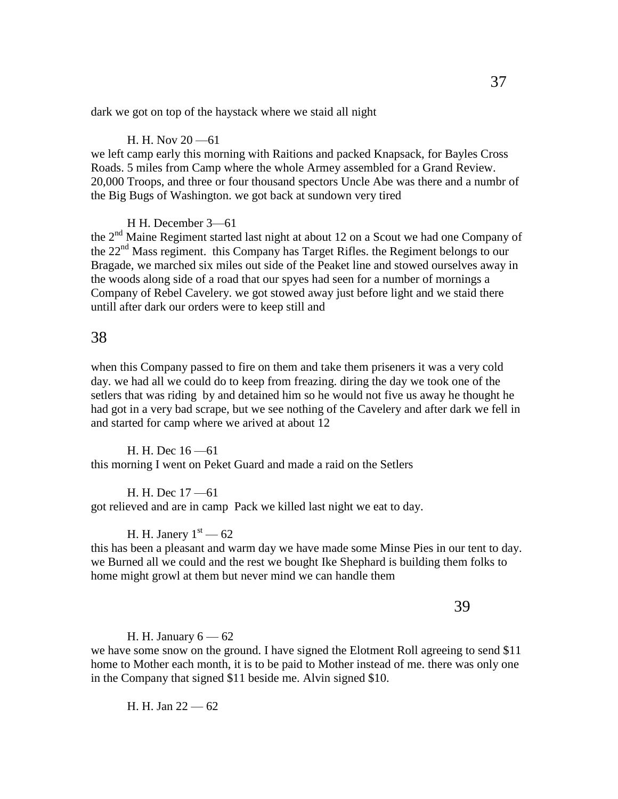dark we got on top of the haystack where we staid all night

### H. H. Nov 20 —61

we left camp early this morning with Raitions and packed Knapsack, for Bayles Cross Roads. 5 miles from Camp where the whole Armey assembled for a Grand Review. 20,000 Troops, and three or four thousand spectors Uncle Abe was there and a numbr of the Big Bugs of Washington. we got back at sundown very tired

#### H H. December 3—61

the  $2<sup>nd</sup>$  Maine Regiment started last night at about 12 on a Scout we had one Company of the 22nd Mass regiment. this Company has Target Rifles. the Regiment belongs to our Bragade, we marched six miles out side of the Peaket line and stowed ourselves away in the woods along side of a road that our spyes had seen for a number of mornings a Company of Rebel Cavelery. we got stowed away just before light and we staid there untill after dark our orders were to keep still and

# 38

when this Company passed to fire on them and take them priseners it was a very cold day. we had all we could do to keep from freazing. diring the day we took one of the setlers that was riding by and detained him so he would not five us away he thought he had got in a very bad scrape, but we see nothing of the Cavelery and after dark we fell in and started for camp where we arived at about 12

H. H. Dec 16 —61 this morning I went on Peket Guard and made a raid on the Setlers

H. H. Dec 17 —61 got relieved and are in camp Pack we killed last night we eat to day.

## H. H. Janery  $1<sup>st</sup>$  — 62

this has been a pleasant and warm day we have made some Minse Pies in our tent to day. we Burned all we could and the rest we bought Ike Shephard is building them folks to home might growl at them but never mind we can handle them

39

#### H. H. January  $6 - 62$

we have some snow on the ground. I have signed the Elotment Roll agreeing to send \$11 home to Mother each month, it is to be paid to Mother instead of me. there was only one in the Company that signed \$11 beside me. Alvin signed \$10.

H. H. Jan 22 — 62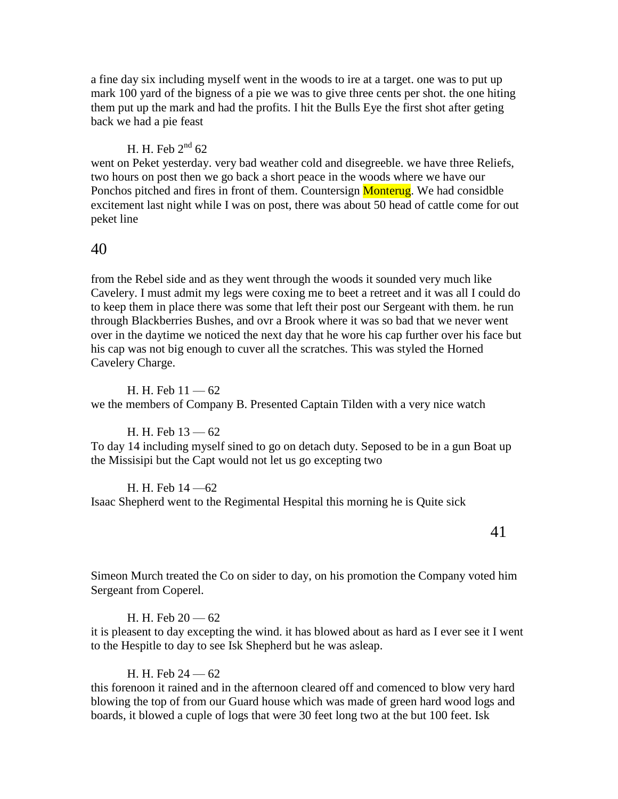a fine day six including myself went in the woods to ire at a target. one was to put up mark 100 yard of the bigness of a pie we was to give three cents per shot. the one hiting them put up the mark and had the profits. I hit the Bulls Eye the first shot after geting back we had a pie feast

# H. H. Feb  $2^{nd}$  62

went on Peket yesterday. very bad weather cold and disegreeble. we have three Reliefs, two hours on post then we go back a short peace in the woods where we have our Ponchos pitched and fires in front of them. Countersign **Monterug**. We had considble excitement last night while I was on post, there was about 50 head of cattle come for out peket line

## 40

from the Rebel side and as they went through the woods it sounded very much like Cavelery. I must admit my legs were coxing me to beet a retreet and it was all I could do to keep them in place there was some that left their post our Sergeant with them. he run through Blackberries Bushes, and ovr a Brook where it was so bad that we never went over in the daytime we noticed the next day that he wore his cap further over his face but his cap was not big enough to cuver all the scratches. This was styled the Horned Cavelery Charge.

H. H. Feb  $11 - 62$ we the members of Company B. Presented Captain Tilden with a very nice watch

## H. H. Feb 13 — 62

To day 14 including myself sined to go on detach duty. Seposed to be in a gun Boat up the Missisipi but the Capt would not let us go excepting two

H. H. Feb 14 —62 Isaac Shepherd went to the Regimental Hespital this morning he is Quite sick

41

Simeon Murch treated the Co on sider to day, on his promotion the Company voted him Sergeant from Coperel.

### H. H. Feb  $20 - 62$

it is pleasent to day excepting the wind. it has blowed about as hard as I ever see it I went to the Hespitle to day to see Isk Shepherd but he was asleap.

### H. H. Feb 24 — 62

this forenoon it rained and in the afternoon cleared off and comenced to blow very hard blowing the top of from our Guard house which was made of green hard wood logs and boards, it blowed a cuple of logs that were 30 feet long two at the but 100 feet. Isk